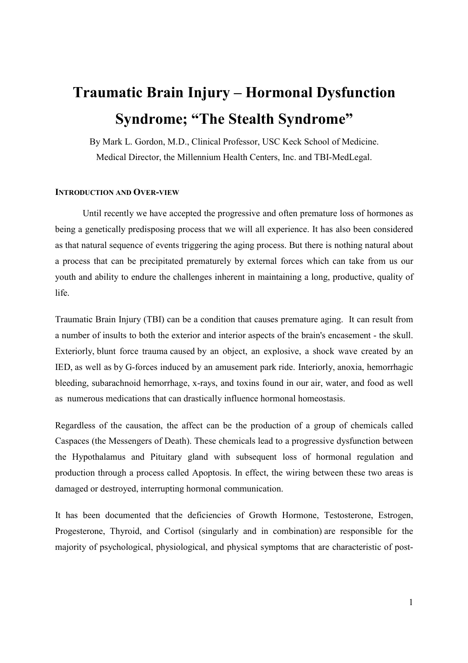# **Traumatic Brain Injury – Hormonal Dysfunction Syndrome; "The Stealth Syndrome"**

By Mark L. Gordon, M.D., Clinical Professor, USC Keck School of Medicine. Medical Director, the Millennium Health Centers, Inc. and TBI-MedLegal.

#### **INTRODUCTION AND OVER-VIEW**

Until recently we have accepted the progressive and often premature loss of hormones as being a genetically predisposing process that we will all experience. It has also been considered as that natural sequence of events triggering the aging process. But there is nothing natural about a process that can be precipitated prematurely by external forces which can take from us our youth and ability to endure the challenges inherent in maintaining a long, productive, quality of life.

Traumatic Brain Injury (TBI) can be a condition that causes premature aging. It can result from a number of insults to both the exterior and interior aspects of the brain's encasement - the skull. Exteriorly, blunt force trauma caused by an object, an explosive, a shock wave created by an IED, as well as by G-forces induced by an amusement park ride. Interiorly, anoxia, hemorrhagic bleeding, subarachnoid hemorrhage, x-rays, and toxins found in our air, water, and food as well as numerous medications that can drastically influence hormonal homeostasis.

Regardless of the causation, the affect can be the production of a group of chemicals called Caspaces (the Messengers of Death). These chemicals lead to a progressive dysfunction between the Hypothalamus and Pituitary gland with subsequent loss of hormonal regulation and production through a process called Apoptosis. In effect, the wiring between these two areas is damaged or destroyed, interrupting hormonal communication.

It has been documented that the deficiencies of Growth Hormone, Testosterone, Estrogen, Progesterone, Thyroid, and Cortisol (singularly and in combination) are responsible for the majority of psychological, physiological, and physical symptoms that are characteristic of post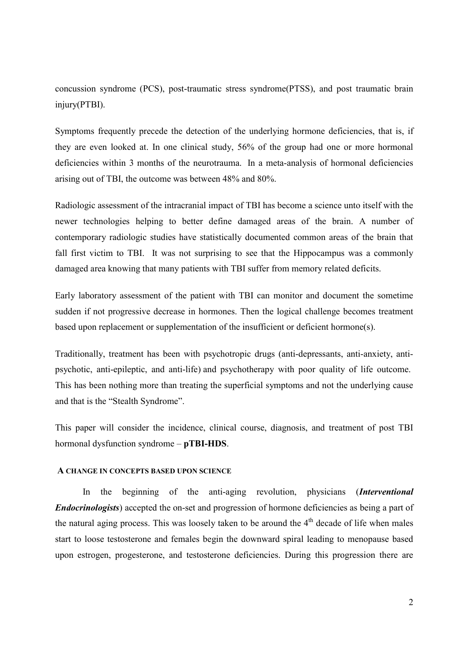concussion syndrome (PCS), post-traumatic stress syndrome(PTSS), and post traumatic brain injury(PTBI).

Symptoms frequently precede the detection of the underlying hormone deficiencies, that is, if they are even looked at. In one clinical study, 56% of the group had one or more hormonal deficiencies within 3 months of the neurotrauma. In a meta-analysis of hormonal deficiencies arising out of TBI, the outcome was between 48% and 80%.

Radiologic assessment of the intracranial impact of TBI has become a science unto itself with the newer technologies helping to better define damaged areas of the brain. A number of contemporary radiologic studies have statistically documented common areas of the brain that fall first victim to TBI. It was not surprising to see that the Hippocampus was a commonly damaged area knowing that many patients with TBI suffer from memory related deficits.

Early laboratory assessment of the patient with TBI can monitor and document the sometime sudden if not progressive decrease in hormones. Then the logical challenge becomes treatment based upon replacement or supplementation of the insufficient or deficient hormone(s).

Traditionally, treatment has been with psychotropic drugs (anti-depressants, anti-anxiety, antipsychotic, anti-epileptic, and anti-life) and psychotherapy with poor quality of life outcome. This has been nothing more than treating the superficial symptoms and not the underlying cause and that is the "Stealth Syndrome".

This paper will consider the incidence, clinical course, diagnosis, and treatment of post TBI hormonal dysfunction syndrome – **pTBI-HDS**.

### **A CHANGE IN CONCEPTS BASED UPON SCIENCE**

In the beginning of the anti-aging revolution, physicians (*Interventional Endocrinologists*) accepted the on-set and progression of hormone deficiencies as being a part of the natural aging process. This was loosely taken to be around the  $4<sup>th</sup>$  decade of life when males start to loose testosterone and females begin the downward spiral leading to menopause based upon estrogen, progesterone, and testosterone deficiencies. During this progression there are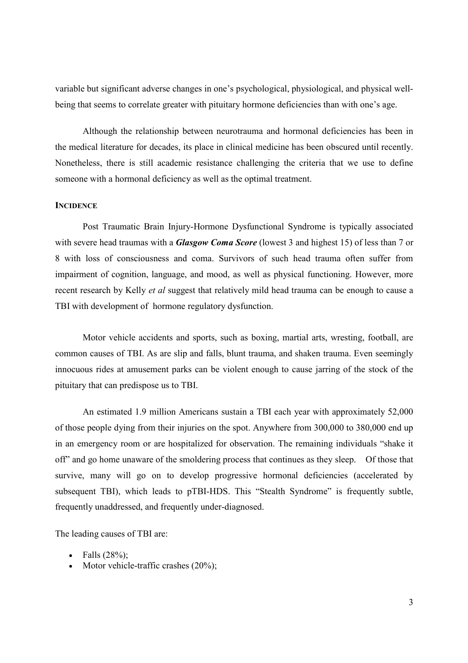variable but significant adverse changes in one's psychological, physiological, and physical wellbeing that seems to correlate greater with pituitary hormone deficiencies than with one's age.

Although the relationship between neurotrauma and hormonal deficiencies has been in the medical literature for decades, its place in clinical medicine has been obscured until recently. Nonetheless, there is still academic resistance challenging the criteria that we use to define someone with a hormonal deficiency as well as the optimal treatment.

## **INCIDENCE**

Post Traumatic Brain Injury-Hormone Dysfunctional Syndrome is typically associated with severe head traumas with a *Glasgow Coma Score* (lowest 3 and highest 15) of less than 7 or 8 with loss of consciousness and coma. Survivors of such head trauma often suffer from impairment of cognition, language, and mood, as well as physical functioning. However, more recent research by Kelly *et al* suggest that relatively mild head trauma can be enough to cause a TBI with development of hormone regulatory dysfunction.

Motor vehicle accidents and sports, such as boxing, martial arts, wresting, football, are common causes of TBI. As are slip and falls, blunt trauma, and shaken trauma. Even seemingly innocuous rides at amusement parks can be violent enough to cause jarring of the stock of the pituitary that can predispose us to TBI.

An estimated 1.9 million Americans sustain a TBI each year with approximately 52,000 of those people dying from their injuries on the spot. Anywhere from 300,000 to 380,000 end up in an emergency room or are hospitalized for observation. The remaining individuals "shake it off" and go home unaware of the smoldering process that continues as they sleep. Of those that survive, many will go on to develop progressive hormonal deficiencies (accelerated by subsequent TBI), which leads to pTBI-HDS. This "Stealth Syndrome" is frequently subtle, frequently unaddressed, and frequently under-diagnosed.

The leading causes of TBI are:

- Falls  $(28\%)$ ;
- Motor vehicle-traffic crashes  $(20\%)$ ;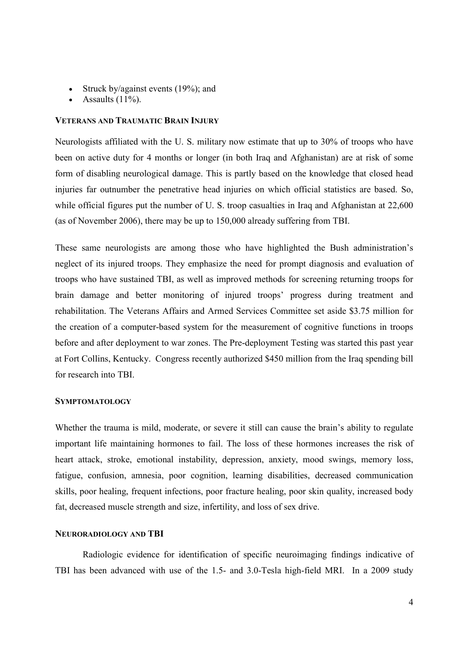- Struck by/against events  $(19\%)$ ; and
- Assaults (11%).

#### **VETERANS AND TRAUMATIC BRAIN INJURY**

Neurologists affiliated with the U. S. military now estimate that up to 30% of troops who have been on active duty for 4 months or longer (in both Iraq and Afghanistan) are at risk of some form of disabling neurological damage. This is partly based on the knowledge that closed head injuries far outnumber the penetrative head injuries on which official statistics are based. So, while official figures put the number of U. S. troop casualties in Iraq and Afghanistan at 22,600 (as of November 2006), there may be up to 150,000 already suffering from TBI.

These same neurologists are among those who have highlighted the Bush administration's neglect of its injured troops. They emphasize the need for prompt diagnosis and evaluation of troops who have sustained TBI, as well as improved methods for screening returning troops for brain damage and better monitoring of injured troops' progress during treatment and rehabilitation. The Veterans Affairs and Armed Services Committee set aside \$3.75 million for the creation of a computer-based system for the measurement of cognitive functions in troops before and after deployment to war zones. The Pre-deployment Testing was started this past year at Fort Collins, Kentucky. Congress recently authorized \$450 million from the Iraq spending bill for research into TBI.

## **SYMPTOMATOLOGY**

Whether the trauma is mild, moderate, or severe it still can cause the brain's ability to regulate important life maintaining hormones to fail. The loss of these hormones increases the risk of heart attack, stroke, emotional instability, depression, anxiety, mood swings, memory loss, fatigue, confusion, amnesia, poor cognition, learning disabilities, decreased communication skills, poor healing, frequent infections, poor fracture healing, poor skin quality, increased body fat, decreased muscle strength and size, infertility, and loss of sex drive.

### **NEURORADIOLOGY AND TBI**

Radiologic evidence for identification of specific neuroimaging findings indicative of TBI has been advanced with use of the 1.5- and 3.0-Tesla high-field MRI. In a 2009 study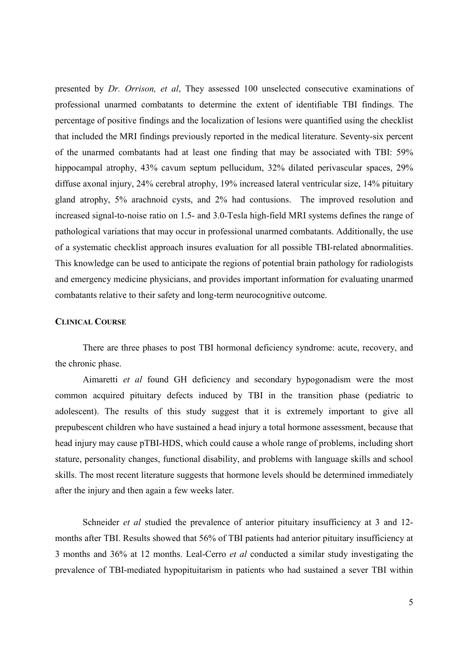presented by *Dr. Orrison, et al*, They assessed 100 unselected consecutive examinations of professional unarmed combatants to determine the extent of identifiable TBI findings. The percentage of positive findings and the localization of lesions were quantified using the checklist that included the MRI findings previously reported in the medical literature. Seventy-six percent of the unarmed combatants had at least one finding that may be associated with TBI: 59% hippocampal atrophy, 43% cavum septum pellucidum, 32% dilated perivascular spaces, 29% diffuse axonal injury, 24% cerebral atrophy, 19% increased lateral ventricular size, 14% pituitary gland atrophy, 5% arachnoid cysts, and 2% had contusions. The improved resolution and increased signal-to-noise ratio on 1.5- and 3.0-Tesla high-field MRI systems defines the range of pathological variations that may occur in professional unarmed combatants. Additionally, the use of a systematic checklist approach insures evaluation for all possible TBI-related abnormalities. This knowledge can be used to anticipate the regions of potential brain pathology for radiologists and emergency medicine physicians, and provides important information for evaluating unarmed combatants relative to their safety and long-term neurocognitive outcome.

#### **CLINICAL COURSE**

There are three phases to post TBI hormonal deficiency syndrome: acute, recovery, and the chronic phase.

Aimaretti *et al* found GH deficiency and secondary hypogonadism were the most common acquired pituitary defects induced by TBI in the transition phase (pediatric to adolescent). The results of this study suggest that it is extremely important to give all prepubescent children who have sustained a head injury a total hormone assessment, because that head injury may cause pTBI-HDS, which could cause a whole range of problems, including short stature, personality changes, functional disability, and problems with language skills and school skills. The most recent literature suggests that hormone levels should be determined immediately after the injury and then again a few weeks later.

Schneider *et al* studied the prevalence of anterior pituitary insufficiency at 3 and 12months after TBI. Results showed that 56% of TBI patients had anterior pituitary insufficiency at 3 months and 36% at 12 months. Leal-Cerro *et al* conducted a similar study investigating the prevalence of TBI-mediated hypopituitarism in patients who had sustained a sever TBI within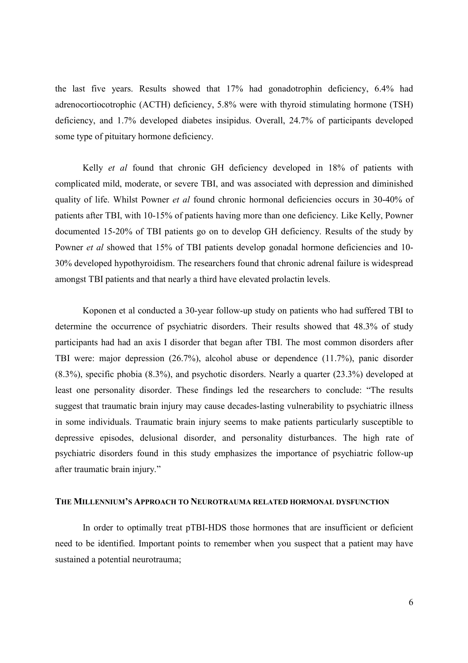the last five years. Results showed that 17% had gonadotrophin deficiency, 6.4% had adrenocortiocotrophic (ACTH) deficiency, 5.8% were with thyroid stimulating hormone (TSH) deficiency, and 1.7% developed diabetes insipidus. Overall, 24.7% of participants developed some type of pituitary hormone deficiency.

Kelly *et al* found that chronic GH deficiency developed in 18% of patients with complicated mild, moderate, or severe TBI, and was associated with depression and diminished quality of life. Whilst Powner *et al* found chronic hormonal deficiencies occurs in 30-40% of patients after TBI, with 10-15% of patients having more than one deficiency. Like Kelly, Powner documented 15-20% of TBI patients go on to develop GH deficiency. Results of the study by Powner *et al* showed that 15% of TBI patients develop gonadal hormone deficiencies and 10-30% developed hypothyroidism. The researchers found that chronic adrenal failure is widespread amongst TBI patients and that nearly a third have elevated prolactin levels.

Koponen et al conducted a 30-year follow-up study on patients who had suffered TBI to determine the occurrence of psychiatric disorders. Their results showed that 48.3% of study participants had had an axis I disorder that began after TBI. The most common disorders after TBI were: major depression (26.7%), alcohol abuse or dependence (11.7%), panic disorder (8.3%), specific phobia (8.3%), and psychotic disorders. Nearly a quarter (23.3%) developed at least one personality disorder. These findings led the researchers to conclude: "The results suggest that traumatic brain injury may cause decades-lasting vulnerability to psychiatric illness in some individuals. Traumatic brain injury seems to make patients particularly susceptible to depressive episodes, delusional disorder, and personality disturbances. The high rate of psychiatric disorders found in this study emphasizes the importance of psychiatric follow-up after traumatic brain injury."

#### **THE MILLENNIUM'S APPROACH TO NEUROTRAUMA RELATED HORMONAL DYSFUNCTION**

In order to optimally treat pTBI-HDS those hormones that are insufficient or deficient need to be identified. Important points to remember when you suspect that a patient may have sustained a potential neurotrauma;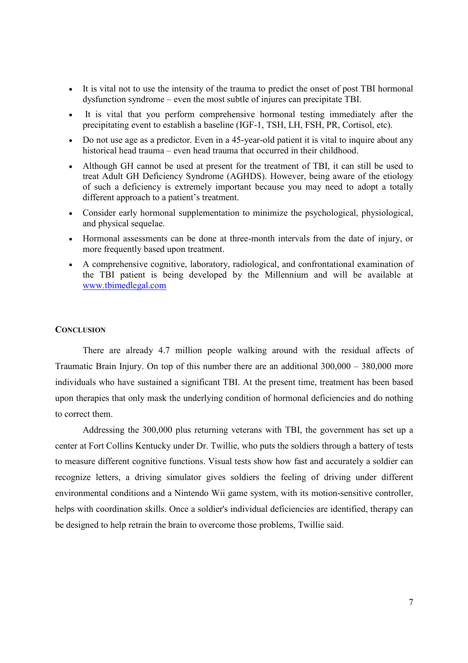- It is vital not to use the intensity of the trauma to predict the onset of post TBI hormonal dysfunction syndrome – even the most subtle of injures can precipitate TBI.
- It is vital that you perform comprehensive hormonal testing immediately after the precipitating event to establish a baseline (IGF-1, TSH, LH, FSH, PR, Cortisol, etc).
- Do not use age as a predictor. Even in a 45-year-old patient it is vital to inquire about any historical head trauma – even head trauma that occurred in their childhood.
- Although GH cannot be used at present for the treatment of TBI, it can still be used to treat Adult GH Deficiency Syndrome (AGHDS). However, being aware of the etiology of such a deficiency is extremely important because you may need to adopt a totally different approach to a patient's treatment.
- Consider early hormonal supplementation to minimize the psychological, physiological, and physical sequelae.
- Hormonal assessments can be done at three-month intervals from the date of injury, or more frequently based upon treatment.
- A comprehensive cognitive, laboratory, radiological, and confrontational examination of the TBI patient is being developed by the Millennium and will be available at www.tbimedlegal.com

#### **CONCLUSION**

There are already 4.7 million people walking around with the residual affects of Traumatic Brain Injury. On top of this number there are an additional 300,000 – 380,000 more individuals who have sustained a significant TBI. At the present time, treatment has been based upon therapies that only mask the underlying condition of hormonal deficiencies and do nothing to correct them.

Addressing the 300,000 plus returning veterans with TBI, the government has set up a center at Fort Collins Kentucky under Dr. Twillie, who puts the soldiers through a battery of tests to measure different cognitive functions. Visual tests show how fast and accurately a soldier can recognize letters, a driving simulator gives soldiers the feeling of driving under different environmental conditions and a Nintendo Wii game system, with its motion-sensitive controller, helps with coordination skills. Once a soldier's individual deficiencies are identified, therapy can be designed to help retrain the brain to overcome those problems, Twillie said.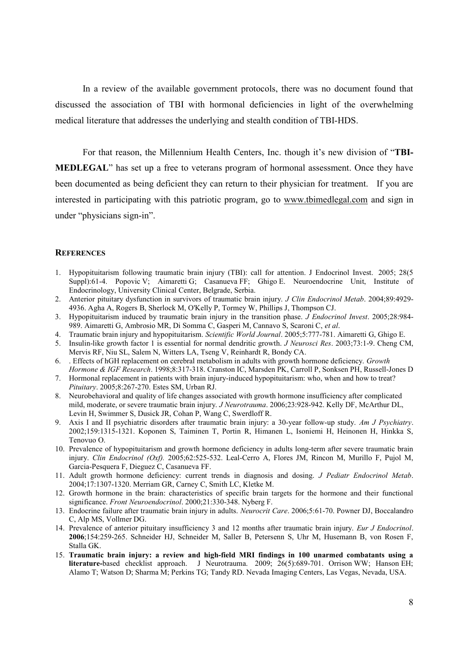In a review of the available government protocols, there was no document found that discussed the association of TBI with hormonal deficiencies in light of the overwhelming medical literature that addresses the underlying and stealth condition of TBI-HDS.

For that reason, the Millennium Health Centers, Inc. though it's new division of "**TBI-MEDLEGAL**" has set up a free to veterans program of hormonal assessment. Once they have been documented as being deficient they can return to their physician for treatment. If you are interested in participating with this patriotic program, go to www.tbimedlegal.com and sign in under "physicians sign-in".

#### **REFERENCES**

- 1. Hypopituitarism following traumatic brain injury (TBI): call for attention. J Endocrinol Invest. 2005; 28(5 Suppl):61-4. Popovic V; Aimaretti G; Casanueva FF; Ghigo E. Neuroendocrine Unit, Institute of Endocrinology, University Clinical Center, Belgrade, Serbia.
- 2. Anterior pituitary dysfunction in survivors of traumatic brain injury. *J Clin Endocrinol Metab*. 2004;89:4929- 4936. Agha A, Rogers B, Sherlock M, O'Kelly P, Tormey W, Phillips J, Thompson CJ.
- 3. Hypopituitarism induced by traumatic brain injury in the transition phase. *J Endocrinol Invest*. 2005;28:984- 989. Aimaretti G, Ambrosio MR, Di Somma C, Gasperi M, Cannavo S, Scaroni C, *et al*.
- 4. Traumatic brain injury and hypopituitarism. *Scientific World Journal*. 2005;5:777-781. Aimaretti G, Ghigo E.
- 5. Insulin-like growth factor 1 is essential for normal dendritic growth. *J Neurosci Res*. 2003;73:1-9. Cheng CM, Mervis RF, Niu SL, Salem N, Witters LA, Tseng V, Reinhardt R, Bondy CA.
- 6. . Effects of hGH replacement on cerebral metabolism in adults with growth hormone deficiency. *Growth Hormone & IGF Research*. 1998;8:317-318. Cranston IC, Marsden PK, Carroll P, Sonksen PH, Russell-Jones D
- 7. Hormonal replacement in patients with brain injury-induced hypopituitarism: who, when and how to treat? *Pituitary*. 2005;8:267-270. Estes SM, Urban RJ.
- 8. Neurobehavioral and quality of life changes associated with growth hormone insufficiency after complicated mild, moderate, or severe traumatic brain injury. *J Neurotrauma*. 2006;23:928-942. Kelly DF, McArthur DL, Levin H, Swimmer S, Dusick JR, Cohan P, Wang C, Swerdloff R.
- 9. Axis I and II psychiatric disorders after traumatic brain injury: a 30-year follow-up study. *Am J Psychiatry*. 2002;159:1315-1321. Koponen S, Taiminen T, Portin R, Himanen L, Isoniemi H, Heinonen H, Hinkka S, Tenovuo O.
- 10. Prevalence of hypopituitarism and growth hormone deficiency in adults long-term after severe traumatic brain injury. *Clin Endocrinol (Oxf).* 2005;62:525-532. Leal-Cerro A, Flores JM, Rincon M, Murillo F, Pujol M, Garcia-Pesquera F, Dieguez C, Casanueva FF.
- 11. Adult growth hormone deficiency: current trends in diagnosis and dosing. *J Pediatr Endocrinol Metab*. 2004;17:1307-1320. Merriam GR, Carney C, Smith LC, Kletke M.
- 12. Growth hormone in the brain: characteristics of specific brain targets for the hormone and their functional significance. *Front Neuroendocrinol*. 2000;21:330-348. Nyberg F.
- 13. Endocrine failure after traumatic brain injury in adults. *Neurocrit Care*. 2006;5:61-70. Powner DJ, Boccalandro C, Alp MS, Vollmer DG.
- 14. Prevalence of anterior pituitary insufficiency 3 and 12 months after traumatic brain injury. *Eur J Endocrinol*. **2006**;154:259-265. Schneider HJ, Schneider M, Saller B, Petersenn S, Uhr M, Husemann B, von Rosen F, Stalla GK.
- 15. **Traumatic brain injury: a review and high-field MRI findings in 100 unarmed combatants using a literature-**based checklist approach. J Neurotrauma. 2009; 26(5):689-701. Orrison WW; Hanson EH; Alamo T; Watson D; Sharma M; Perkins TG; Tandy RD. Nevada Imaging Centers, Las Vegas, Nevada, USA.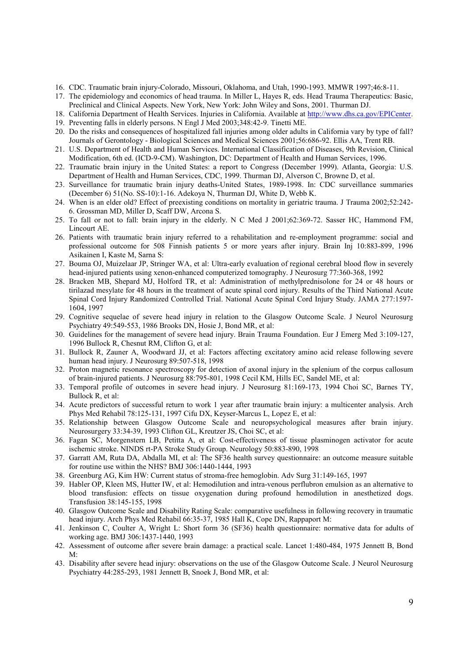- 16. CDC. Traumatic brain injury-Colorado, Missouri, Oklahoma, and Utah, 1990-1993. MMWR 1997;46:8-11.
- 17. The epidemiology and economics of head trauma. In Miller L, Hayes R, eds. Head Trauma Therapeutics: Basic, Preclinical and Clinical Aspects. New York, New York: John Wiley and Sons, 2001. Thurman DJ.
- 18. California Department of Health Services. Injuries in California. Available at http://www.dhs.ca.gov/EPICenter.
- 19. Preventing falls in elderly persons. N Engl J Med 2003;348:42-9. Tinetti ME.
- 20. Do the risks and consequences of hospitalized fall injuries among older adults in California vary by type of fall? Journals of Gerontology - Biological Sciences and Medical Sciences 2001;56:686-92. Ellis AA, Trent RB.
- 21. U.S. Department of Health and Human Services. International Classification of Diseases, 9th Revision, Clinical Modification, 6th ed. (ICD-9-CM). Washington, DC: Department of Health and Human Services, 1996.
- 22. Traumatic brain injury in the United States: a report to Congress (December 1999). Atlanta, Georgia: U.S. Department of Health and Human Services, CDC, 1999. Thurman DJ, Alverson C, Browne D, et al.
- 23. Surveillance for traumatic brain injury deaths-United States, 1989-1998. In: CDC surveillance summaries (December 6) 51(No. SS-10):1-16. Adekoya N, Thurman DJ, White D, Webb K.
- 24. When is an elder old? Effect of preexisting conditions on mortality in geriatric trauma. J Trauma 2002;52:242- 6. Grossman MD, Miller D, Scaff DW, Arcona S.
- 25. To fall or not to fall: brain injury in the elderly. N C Med J 2001;62:369-72. Sasser HC, Hammond FM, Lincourt AE.
- 26. Patients with traumatic brain injury referred to a rehabilitation and re-employment programme: social and professional outcome for 508 Finnish patients 5 or more years after injury. Brain Inj 10:883-899, 1996 Asikainen I, Kaste M, Sarna S:
- 27. Bouma OJ, Muizelaar JP, Stringer WA, et al: Ultra-early evaluation of regional cerebral blood flow in severely head-injured patients using xenon-enhanced computerized tomography. J Neurosurg 77:360-368, 1992
- 28. Bracken MB, Shepard MJ, Holford TR, et al: Administration of methylprednisolone for 24 or 48 hours or tirilazad mesylate for 48 hours in the treatment of acute spinal cord injury. Results of the Third National Acute Spinal Cord Injury Randomized Controlled Trial. National Acute Spinal Cord Injury Study. JAMA 277:1597- 1604, 1997
- 29. Cognitive sequelae of severe head injury in relation to the Glasgow Outcome Scale. J Neurol Neurosurg Psychiatry 49:549-553, 1986 Brooks DN, Hosie J, Bond MR, et al:
- 30. Guidelines for the management of severe head injury. Brain Trauma Foundation. Eur J Emerg Med 3:109-127, 1996 Bullock R, Chesnut RM, Clifton G, et al:
- 31. Bullock R, Zauner A, Woodward JJ, et al: Factors affecting excitatory amino acid release following severe human head injury. J Neurosurg 89:507-518, 1998
- 32. Proton magnetic resonance spectroscopy for detection of axonal injury in the splenium of the corpus callosum of brain-injured patients. J Neurosurg 88:795-801, 1998 Cecil KM, Hills EC, Sandel ME, et al:
- 33. Temporal profile of outcomes in severe head injury. J Neurosurg 81:169-173, 1994 Choi SC, Barnes TY, Bullock R, et al:
- 34. Acute predictors of successful return to work 1 year after traumatic brain injury: a multicenter analysis. Arch Phys Med Rehabil 78:125-131, 1997 Cifu DX, Keyser-Marcus L, Lopez E, et al:
- 35. Relationship between Glasgow Outcome Scale and neuropsychological measures after brain injury. Neurosurgery 33:34-39, 1993 Clifton GL, Kreutzer JS, Choi SC, et al:
- 36. Fagan SC, Morgenstern LB, Petitta A, et al: Cost-effectiveness of tissue plasminogen activator for acute ischemic stroke. NINDS rt-PA Stroke Study Group. Neurology 50:883-890, 1998
- 37. Garratt AM, Ruta DA, Abdalla MI, et al: The SF36 health survey questionnaire: an outcome measure suitable for routine use within the NHS? BMJ 306:1440-1444, 1993
- 38. Greenburg AG, Kim HW: Current status of stroma-free hemoglobin. Adv Surg 31:149-165, 1997
- 39. Habler OP, Kleen MS, Hutter IW, et al: Hemodilution and intra-venous perflubron emulsion as an alternative to blood transfusion: effects on tissue oxygenation during profound hemodilution in anesthetized dogs. Transfusion 38:145-155, 1998
- 40. Glasgow Outcome Scale and Disability Rating Scale: comparative usefulness in following recovery in traumatic head injury. Arch Phys Med Rehabil 66:35-37, 1985 Hall K, Cope DN, Rappaport M:
- 41. Jenkinson C, Coulter A, Wright L: Short form 36 (SF36) health questionnaire: normative data for adults of working age. BMJ 306:1437-1440, 1993
- 42. Assessment of outcome after severe brain damage: a practical scale. Lancet 1:480-484, 1975 Jennett B, Bond  $M$
- 43. Disability after severe head injury: observations on the use of the Glasgow Outcome Scale. J Neurol Neurosurg Psychiatry 44:285-293, 1981 Jennett B, Snoek J, Bond MR, et al: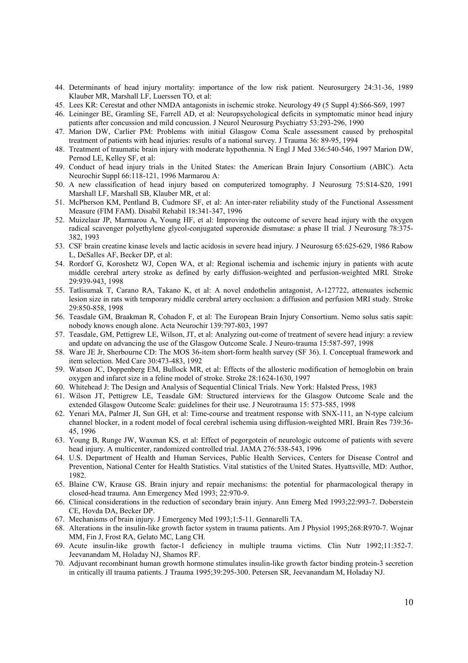- 44. Determinants of head injury mortality: importance of the low risk patient. Neurosurgery 24:31-36, 1989 Klauber MR, Marshall LF, Luerssen TO, et al:
- 45. Lees KR: Cerestat and other NMDA antagonists in ischemic stroke. Neurology 49 (5 Suppl 4):S66-S69, 1997
- 46. Leininger BE, Gramling SE, Farrell AD, et al: Neuropsychological deficits in symptomatic minor head injury patients after concussion and mild concussion. J Neurol Neurosurg Psychiatry 53:293-296, 1990
- 47. Marion DW, Carlier PM: Problems with initial Glasgow Coma Scale assessment caused by prehospital treatment of patients with head injuries: results of a national survey. J Trauma 36: 89-95, 1994
- 48. Treatment of traumatic brain injury with moderate hypothennia. N Engl J Med 336:540-546, 1997 Marion DW, Pernod LE, Kelley SF, et al:
- 49. Conduct of head injury trials in the United States: the American Brain Injury Consortium (ABIC). Acta Neurochir Suppl 66:118-121, 1996 Marmarou A:
- 50. A new classification of head injury based on computerized tomography. J Neurosurg 75:S14-S20, 1991 Marshall LF, Marshall SB, Klauber MR, et al:
- 51. McPherson KM, Pentland B, Cudmore SF, et al: An inter-rater reliability study of the Functional Assessment Measure (FIM FAM). Disabil Rehabil 18:341-347, 1996
- 52. Muizelaar JP, Marmarou A, Young HF, et al: Improving the outcome of severe head injury with the oxygen radical scavenger polyethylene glycol-conjugated superoxide dismutase: a phase II trial. J Neurosurg 78:375- 382, 1993
- 53. CSF brain creatine kinase levels and lactic acidosis in severe head injury. J Neurosurg 65:625-629, 1986 Rabow L, DeSalles AF, Becker DP, et al:
- 54. Rordorf G, Koroshetz WJ, Copen WA, et al: Regional ischemia and ischemic injury in patients with acute middle cerebral artery stroke as defined by early diffusion-weighted and perfusion-weighted MRI. Stroke 29:939-943, 1998
- 55. Tatlisumak T, Carano RA, Takano K, et al: A novel endothelin antagonist, A-127722, attenuates ischemic lesion size in rats with temporary middle cerebral artery occlusion: a diffusion and perfusion MRI study. Stroke 29:850-858, 1998
- 56. Teasdale GM, Braakman R, Cohadon F, et al: The European Brain Injury Consortium. Nemo solus satis sapit: nobody knows enough alone. Acta Neurochir 139:797-803, 1997
- 57. Teasdale, GM, Pettigrew LE, Wilson, JT, et al: Analyzing out-come of treatment of severe head injury: a review and update on advancing the use of the Glasgow Outcome Scale. J Neuro-trauma 15:587-597, 1998
- 58. Ware JE Jr, Sherbourne CD: The MOS 36-item short-form health survey (SF 36). I. Conceptual framework and item selection. Med Care 30:473-483, 1992
- 59. Watson JC, Doppenberg EM, Bullock MR, et al: Effects of the allosteric modification of hemoglobin on brain oxygen and infarct size in a feline model of stroke. Stroke 28:1624-1630, 1997
- 60. Whitehead J: The Design and Analysis of Sequential Clinical Trials. New York: Halsted Press, 1983
- 61. Wilson JT, Pettigrew LE, Teasdale GM: Structured interviews for the Glasgow Outcome Scale and the extended Glasgow Outcome Scale: guidelines for their use. J Neurotrauma 15: 573-585, 1998
- 62. Yenari MA, Palmer JI, Sun GH, et al: Time-course and treatment response with SNX-111, an N-type calcium channel blocker, in a rodent model of focal cerebral ischemia using diffusion-weighted MRI. Brain Res 739:36- 45, 1996
- 63. Young B, Runge JW, Waxman KS, et al: Effect of pegorgotein of neurologic outcome of patients with severe head injury. A multicenter, randomized controlled trial. JAMA 276:538-543, 1996
- 64. U.S. Department of Health and Human Services, Public Health Services, Centers for Disease Control and Prevention, National Center for Health Statistics. Vital statistics of the United States. Hyattsville, MD: Author, 1982.
- 65. Blaine CW, Krause GS. Brain injury and repair mechanisms: the potential for pharmacological therapy in closed-head trauma. Ann Emergency Med 1993; 22:970-9.
- 66. Clinical considerations in the reduction of secondary brain injury. Ann Emerg Med 1993;22:993-7. Doberstein CE, Hovda DA, Becker DP.
- 67. Mechanisms of brain injury. J Emergency Med 1993;1:5-11. Gennarelli TA.
- 68. Alterations in the insulin-like growth factor system in trauma patients. Am J Physiol 1995;268:R970-7. Wojnar MM, Fin J, Frost RA, Gelato MC, Lang CH.
- 69. Acute insulin-like growth factor-1 deficiency in multiple trauma victims. Clin Nutr 1992;11:352-7. Jeevanandam M, Holaday NJ, Shamos RF.
- 70. Adjuvant recombinant human growth hormone stimulates insulin-like growth factor binding protein-3 secretion in critically ill trauma patients. J Trauma 1995;39:295-300. Petersen SR, Jeevanandam M, Holaday NJ.